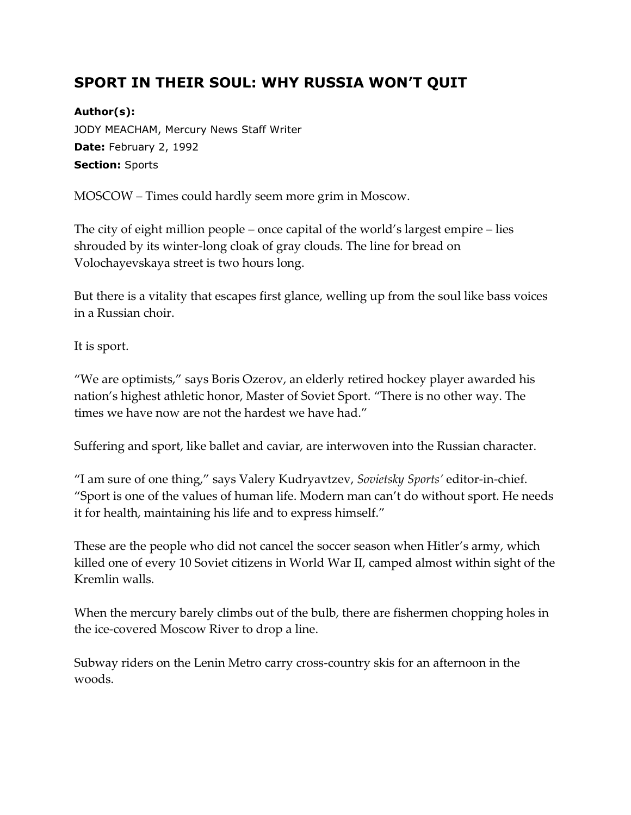## **SPORT IN THEIR SOUL: WHY RUSSIA WON'T QUIT**

## **Author(s):**

JODY MEACHAM, Mercury News Staff Writer **Date:** February 2, 1992 **Section:** Sports

MOSCOW – Times could hardly seem more grim in Moscow.

The city of eight million people – once capital of the world's largest empire – lies shrouded by its winter-long cloak of gray clouds. The line for bread on Volochayevskaya street is two hours long.

But there is a vitality that escapes first glance, welling up from the soul like bass voices in a Russian choir.

It is sport.

"We are optimists," says Boris Ozerov, an elderly retired hockey player awarded his nation's highest athletic honor, Master of Soviet Sport. "There is no other way. The times we have now are not the hardest we have had."

Suffering and sport, like ballet and caviar, are interwoven into the Russian character.

"I am sure of one thing," says Valery Kudryavtzev, *Sovietsky Sports'* editor-in-chief. "Sport is one of the values of human life. Modern man can't do without sport. He needs it for health, maintaining his life and to express himself."

These are the people who did not cancel the soccer season when Hitler's army, which killed one of every 10 Soviet citizens in World War II, camped almost within sight of the Kremlin walls.

When the mercury barely climbs out of the bulb, there are fishermen chopping holes in the ice-covered Moscow River to drop a line.

Subway riders on the Lenin Metro carry cross-country skis for an afternoon in the woods.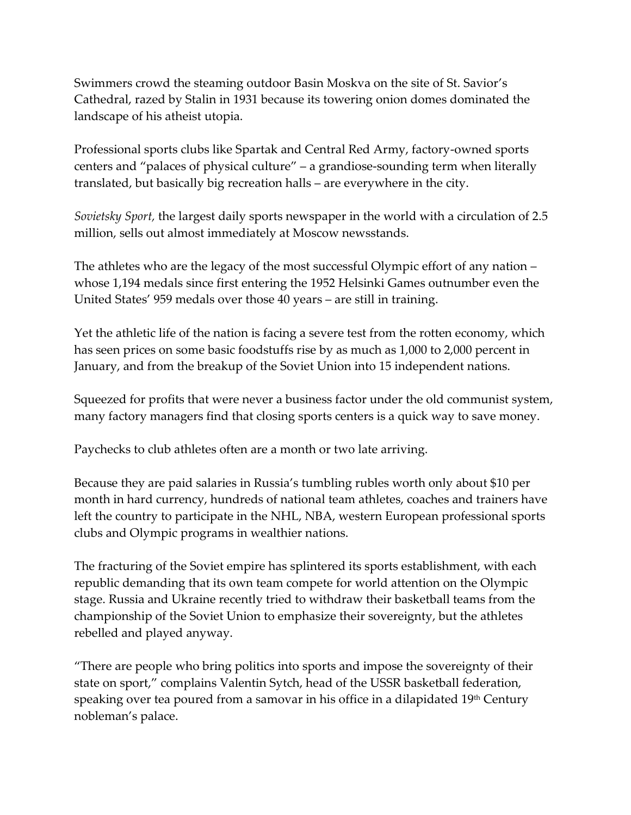Swimmers crowd the steaming outdoor Basin Moskva on the site of St. Savior's Cathedral, razed by Stalin in 1931 because its towering onion domes dominated the landscape of his atheist utopia.

Professional sports clubs like Spartak and Central Red Army, factory-owned sports centers and "palaces of physical culture" – a grandiose-sounding term when literally translated, but basically big recreation halls – are everywhere in the city.

*Sovietsky Sport,* the largest daily sports newspaper in the world with a circulation of 2.5 million, sells out almost immediately at Moscow newsstands.

The athletes who are the legacy of the most successful Olympic effort of any nation – whose 1,194 medals since first entering the 1952 Helsinki Games outnumber even the United States' 959 medals over those 40 years – are still in training.

Yet the athletic life of the nation is facing a severe test from the rotten economy, which has seen prices on some basic foodstuffs rise by as much as 1,000 to 2,000 percent in January, and from the breakup of the Soviet Union into 15 independent nations.

Squeezed for profits that were never a business factor under the old communist system, many factory managers find that closing sports centers is a quick way to save money.

Paychecks to club athletes often are a month or two late arriving.

Because they are paid salaries in Russia's tumbling rubles worth only about \$10 per month in hard currency, hundreds of national team athletes, coaches and trainers have left the country to participate in the NHL, NBA, western European professional sports clubs and Olympic programs in wealthier nations.

The fracturing of the Soviet empire has splintered its sports establishment, with each republic demanding that its own team compete for world attention on the Olympic stage. Russia and Ukraine recently tried to withdraw their basketball teams from the championship of the Soviet Union to emphasize their sovereignty, but the athletes rebelled and played anyway.

"There are people who bring politics into sports and impose the sovereignty of their state on sport," complains Valentin Sytch, head of the USSR basketball federation, speaking over tea poured from a samovar in his office in a dilapidated  $19<sup>th</sup>$  Century nobleman's palace.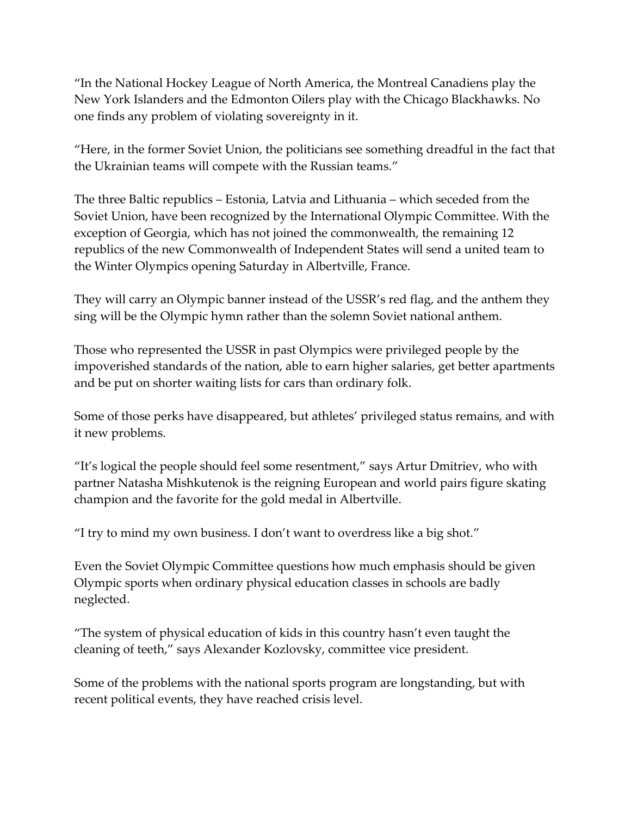"In the National Hockey League of North America, the Montreal Canadiens play the New York Islanders and the Edmonton Oilers play with the Chicago Blackhawks. No one finds any problem of violating sovereignty in it.

"Here, in the former Soviet Union, the politicians see something dreadful in the fact that the Ukrainian teams will compete with the Russian teams."

The three Baltic republics – Estonia, Latvia and Lithuania – which seceded from the Soviet Union, have been recognized by the International Olympic Committee. With the exception of Georgia, which has not joined the commonwealth, the remaining 12 republics of the new Commonwealth of Independent States will send a united team to the Winter Olympics opening Saturday in Albertville, France.

They will carry an Olympic banner instead of the USSR's red flag, and the anthem they sing will be the Olympic hymn rather than the solemn Soviet national anthem.

Those who represented the USSR in past Olympics were privileged people by the impoverished standards of the nation, able to earn higher salaries, get better apartments and be put on shorter waiting lists for cars than ordinary folk.

Some of those perks have disappeared, but athletes' privileged status remains, and with it new problems.

"It's logical the people should feel some resentment," says Artur Dmitriev, who with partner Natasha Mishkutenok is the reigning European and world pairs figure skating champion and the favorite for the gold medal in Albertville.

"I try to mind my own business. I don't want to overdress like a big shot."

Even the Soviet Olympic Committee questions how much emphasis should be given Olympic sports when ordinary physical education classes in schools are badly neglected.

"The system of physical education of kids in this country hasn't even taught the cleaning of teeth," says Alexander Kozlovsky, committee vice president.

Some of the problems with the national sports program are longstanding, but with recent political events, they have reached crisis level.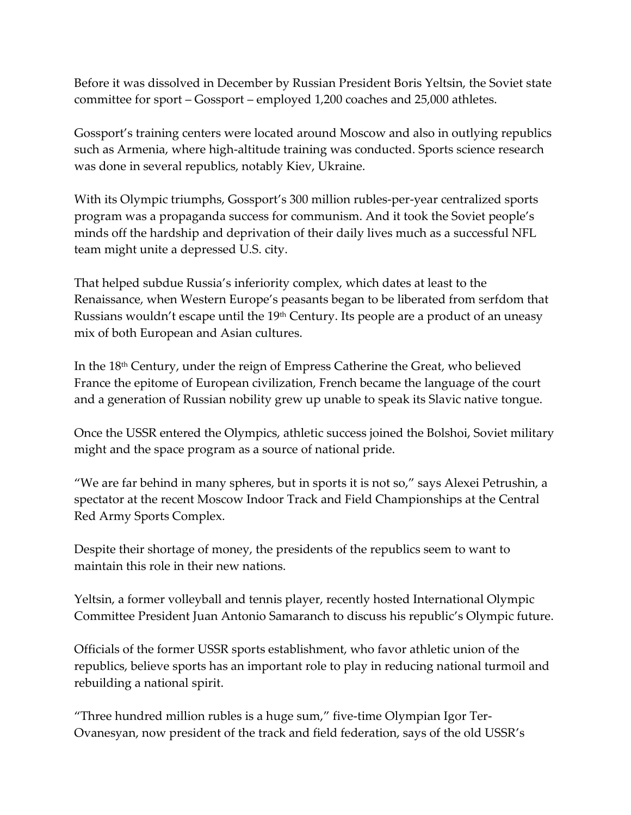Before it was dissolved in December by Russian President Boris Yeltsin, the Soviet state committee for sport – Gossport – employed 1,200 coaches and 25,000 athletes.

Gossport's training centers were located around Moscow and also in outlying republics such as Armenia, where high-altitude training was conducted. Sports science research was done in several republics, notably Kiev, Ukraine.

With its Olympic triumphs, Gossport's 300 million rubles-per-year centralized sports program was a propaganda success for communism. And it took the Soviet people's minds off the hardship and deprivation of their daily lives much as a successful NFL team might unite a depressed U.S. city.

That helped subdue Russia's inferiority complex, which dates at least to the Renaissance, when Western Europe's peasants began to be liberated from serfdom that Russians wouldn't escape until the 19<sup>th</sup> Century. Its people are a product of an uneasy mix of both European and Asian cultures.

In the 18th Century, under the reign of Empress Catherine the Great, who believed France the epitome of European civilization, French became the language of the court and a generation of Russian nobility grew up unable to speak its Slavic native tongue.

Once the USSR entered the Olympics, athletic success joined the Bolshoi, Soviet military might and the space program as a source of national pride.

"We are far behind in many spheres, but in sports it is not so," says Alexei Petrushin, a spectator at the recent Moscow Indoor Track and Field Championships at the Central Red Army Sports Complex.

Despite their shortage of money, the presidents of the republics seem to want to maintain this role in their new nations.

Yeltsin, a former volleyball and tennis player, recently hosted International Olympic Committee President Juan Antonio Samaranch to discuss his republic's Olympic future.

Officials of the former USSR sports establishment, who favor athletic union of the republics, believe sports has an important role to play in reducing national turmoil and rebuilding a national spirit.

"Three hundred million rubles is a huge sum," five-time Olympian Igor Ter-Ovanesyan, now president of the track and field federation, says of the old USSR's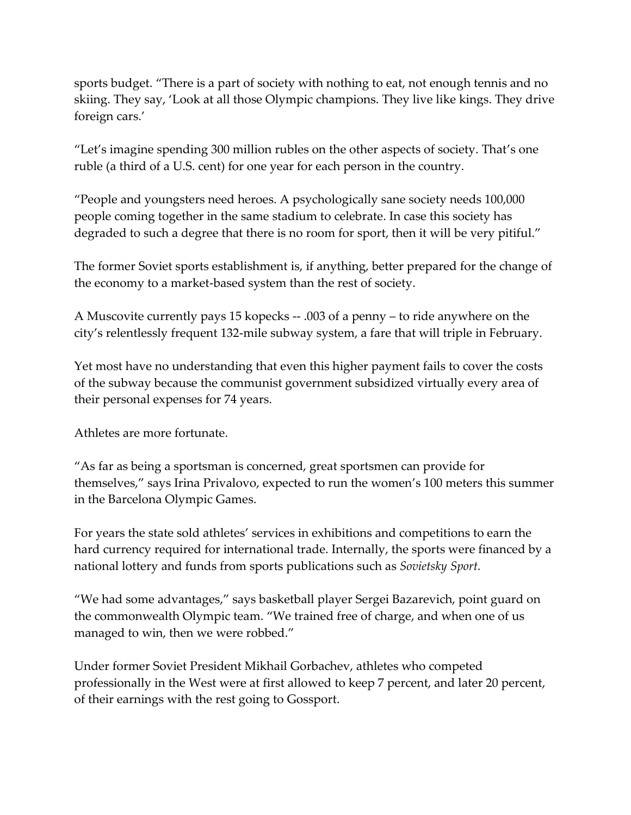sports budget. "There is a part of society with nothing to eat, not enough tennis and no skiing. They say, 'Look at all those Olympic champions. They live like kings. They drive foreign cars.'

"Let's imagine spending 300 million rubles on the other aspects of society. That's one ruble (a third of a U.S. cent) for one year for each person in the country.

"People and youngsters need heroes. A psychologically sane society needs 100,000 people coming together in the same stadium to celebrate. In case this society has degraded to such a degree that there is no room for sport, then it will be very pitiful."

The former Soviet sports establishment is, if anything, better prepared for the change of the economy to a market-based system than the rest of society.

A Muscovite currently pays 15 kopecks -- .003 of a penny – to ride anywhere on the city's relentlessly frequent 132-mile subway system, a fare that will triple in February.

Yet most have no understanding that even this higher payment fails to cover the costs of the subway because the communist government subsidized virtually every area of their personal expenses for 74 years.

Athletes are more fortunate.

"As far as being a sportsman is concerned, great sportsmen can provide for themselves," says Irina Privalovo, expected to run the women's 100 meters this summer in the Barcelona Olympic Games.

For years the state sold athletes' services in exhibitions and competitions to earn the hard currency required for international trade. Internally, the sports were financed by a national lottery and funds from sports publications such as *Sovietsky Sport.*

"We had some advantages," says basketball player Sergei Bazarevich, point guard on the commonwealth Olympic team. "We trained free of charge, and when one of us managed to win, then we were robbed."

Under former Soviet President Mikhail Gorbachev, athletes who competed professionally in the West were at first allowed to keep 7 percent, and later 20 percent, of their earnings with the rest going to Gossport.